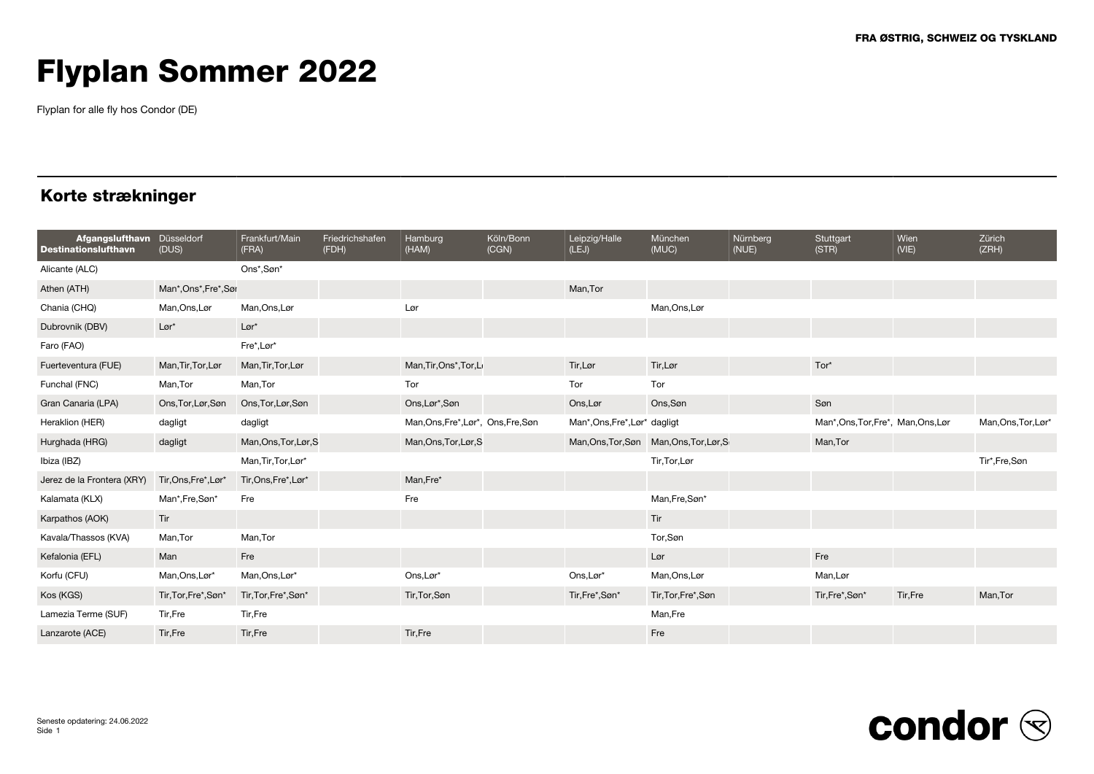Flyplan for alle fly hos Condor (DE)

### Korte strækninger

| Afgangslufthavn Düsseldorf<br><b>Destinationslufthavn</b> | (DUS)                 | Frankfurt/Main<br>(FRA) | Friedrichshafen<br>(FDH) | Hamburg<br>(HAM)                    | Köln/Bonn<br>(CGN) | Leipzig/Halle<br>(LEJ)        | München<br>(MUC)                         | Nürnberg<br>(NUE) | Stuttgart<br>(STR)                  | Wien<br>(VIE) | Zürich<br>(ZRH)     |
|-----------------------------------------------------------|-----------------------|-------------------------|--------------------------|-------------------------------------|--------------------|-------------------------------|------------------------------------------|-------------------|-------------------------------------|---------------|---------------------|
| Alicante (ALC)                                            |                       | Ons*,Søn*               |                          |                                     |                    |                               |                                          |                   |                                     |               |                     |
| Athen (ATH)                                               | Man*, Ons*, Fre*, Sør |                         |                          |                                     |                    | Man, Tor                      |                                          |                   |                                     |               |                     |
| Chania (CHQ)                                              | Man, Ons, Lør         | Man, Ons, Lør           |                          | Lør                                 |                    |                               | Man, Ons, Lør                            |                   |                                     |               |                     |
| Dubrovnik (DBV)                                           | $Lor^*$               | $Lor^*$                 |                          |                                     |                    |                               |                                          |                   |                                     |               |                     |
| Faro (FAO)                                                |                       | Fre*, Lør*              |                          |                                     |                    |                               |                                          |                   |                                     |               |                     |
| Fuerteventura (FUE)                                       | Man, Tir, Tor, Lør    | Man, Tir, Tor, Lør      |                          | Man, Tir, Ons*, Tor, La             |                    | Tir, Lør                      | Tir, Lør                                 |                   | Tor*                                |               |                     |
| Funchal (FNC)                                             | Man, Tor              | Man,Tor                 |                          | Tor                                 |                    | Tor                           | Tor                                      |                   |                                     |               |                     |
| Gran Canaria (LPA)                                        | Ons, Tor, Lør, Søn    | Ons, Tor, Lør, Søn      |                          | Ons, Lør*, Søn                      |                    | Ons, Lør                      | Ons,Søn                                  |                   | Søn                                 |               |                     |
| Heraklion (HER)                                           | dagligt               | dagligt                 |                          | Man, Ons, Fre*, Lør*, Ons, Fre, Søn |                    | Man*, Ons, Fre*, Lør* dagligt |                                          |                   | Man*, Ons, Tor, Fre*, Man, Ons, Lør |               | Man, Ons, Tor, Lør* |
| Hurghada (HRG)                                            | dagligt               | Man, Ons, Tor, Lør, S   |                          | Man, Ons, Tor, Lør, S               |                    |                               | Man, Ons, Tor, Søn Man, Ons, Tor, Lør, S |                   | Man, Tor                            |               |                     |
| Ibiza (IBZ)                                               |                       | Man, Tir, Tor, Lør*     |                          |                                     |                    |                               | Tir, Tor, Lør                            |                   |                                     |               | Tir*,Fre,Søn        |
| Jerez de la Frontera (XRY)                                | Tir, Ons, Fre*, Lør*  | Tir, Ons, Fre*, Lør*    |                          | Man, Fre*                           |                    |                               |                                          |                   |                                     |               |                     |
| Kalamata (KLX)                                            | Man*,Fre,Søn*         | Fre                     |                          | Fre                                 |                    |                               | Man, Fre, Søn*                           |                   |                                     |               |                     |
| Karpathos (AOK)                                           | Tir                   |                         |                          |                                     |                    |                               | Tir                                      |                   |                                     |               |                     |
| Kavala/Thassos (KVA)                                      | Man, Tor              | Man, Tor                |                          |                                     |                    |                               | Tor,Søn                                  |                   |                                     |               |                     |
| Kefalonia (EFL)                                           | Man                   | Fre                     |                          |                                     |                    |                               | Lør                                      |                   | Fre                                 |               |                     |
| Korfu (CFU)                                               | Man, Ons, Lør*        | Man, Ons, Lør*          |                          | Ons,Lør*                            |                    | Ons, Lør*                     | Man, Ons, Lør                            |                   | Man, Lør                            |               |                     |
| Kos (KGS)                                                 | Tir, Tor, Fre*, Søn*  | Tir, Tor, Fre*, Søn*    |                          | Tir, Tor, Søn                       |                    | Tir,Fre*,Søn*                 | Tir, Tor, Fre*, Søn                      |                   | Tir,Fre*,Søn*                       | Tir, Fre      | Man, Tor            |
| Lamezia Terme (SUF)                                       | Tir, Fre              | Tir,Fre                 |                          |                                     |                    |                               | Man,Fre                                  |                   |                                     |               |                     |
| Lanzarote (ACE)                                           | Tir,Fre               | Tir,Fre                 |                          | Tir,Fre                             |                    |                               | Fre                                      |                   |                                     |               |                     |

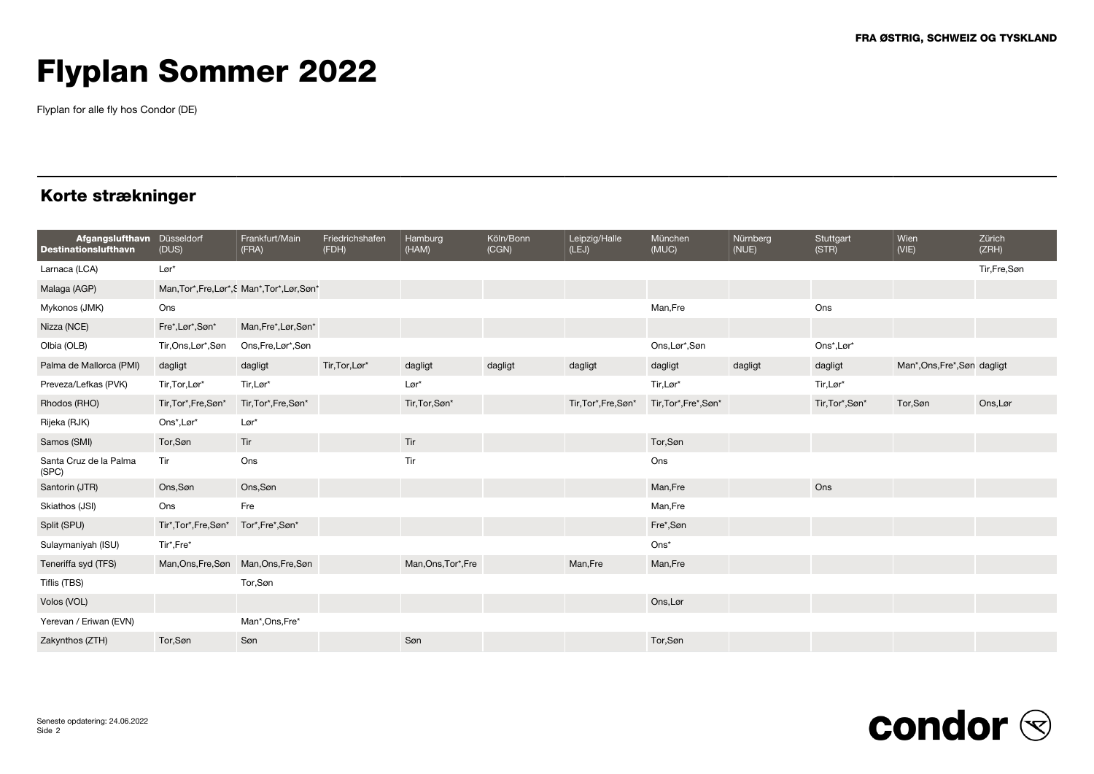Flyplan for alle fly hos Condor (DE)

### Korte strækninger

| Afgangslufthavn Düsseldorf<br><b>Destinationslufthavn</b> | (DUS)                                 | Frankfurt/Main<br>(FRA)                      | Friedrichshafen<br>(FDH) | Hamburg<br>(HAM)    | Köln/Bonn<br>(CGN) | Leipzig/Halle<br>(LEJ) | München<br>(MUC)      | Nürnberg<br>(NUE) | Stuttgart<br>(STR) | Wien<br>(VIE)                | Zürich<br>(ZRH) |
|-----------------------------------------------------------|---------------------------------------|----------------------------------------------|--------------------------|---------------------|--------------------|------------------------|-----------------------|-------------------|--------------------|------------------------------|-----------------|
| Larnaca (LCA)                                             | $L\varnothing r^*$                    |                                              |                          |                     |                    |                        |                       |                   |                    |                              | Tir, Fre, Søn   |
| Malaga (AGP)                                              |                                       | Man, Tor*, Fre, Lør*, SMan*, Tor*, Lør, Søn* |                          |                     |                    |                        |                       |                   |                    |                              |                 |
| Mykonos (JMK)                                             | Ons                                   |                                              |                          |                     |                    |                        | Man,Fre               |                   | Ons                |                              |                 |
| Nizza (NCE)                                               | Fre*, Lør*, Søn*                      | Man, Fre*, Lør, Søn*                         |                          |                     |                    |                        |                       |                   |                    |                              |                 |
| Olbia (OLB)                                               | Tir, Ons, Lør*, Søn                   | Ons, Fre, Lør*, Søn                          |                          |                     |                    |                        | Ons,Lør*,Søn          |                   | Ons*,Lør*          |                              |                 |
| Palma de Mallorca (PMI)                                   | dagligt                               | dagligt                                      | Tir, Tor, Lør*           | dagligt             | dagligt            | dagligt                | dagligt               | dagligt           | dagligt            | Man*, Ons, Fre*, Søn dagligt |                 |
| Preveza/Lefkas (PVK)                                      | Tir, Tor, Lør*                        | Tir,Lør*                                     |                          | Lør*                |                    |                        | Tir, Lør*             |                   | Tir,Lør*           |                              |                 |
| Rhodos (RHO)                                              | Tir, Tor*, Fre, Søn*                  | Tir, Tor*, Fre, Søn*                         |                          | Tir, Tor, Søn*      |                    | Tir, Tor*, Fre, Søn*   | Tir, Tor*, Fre*, Søn* |                   | Tir, Tor*, Søn*    | Tor,Søn                      | Ons, Lør        |
| Rijeka (RJK)                                              | Ons*, Lør*                            | Lør*                                         |                          |                     |                    |                        |                       |                   |                    |                              |                 |
| Samos (SMI)                                               | Tor, Søn                              | Tir                                          |                          | Tir                 |                    |                        | Tor,Søn               |                   |                    |                              |                 |
| Santa Cruz de la Palma<br>(SPC)                           | Tir                                   | Ons                                          |                          | Tir                 |                    |                        | Ons                   |                   |                    |                              |                 |
| Santorin (JTR)                                            | Ons, Søn                              | Ons, Søn                                     |                          |                     |                    |                        | Man, Fre              |                   | Ons                |                              |                 |
| Skiathos (JSI)                                            | Ons                                   | Fre                                          |                          |                     |                    |                        | Man,Fre               |                   |                    |                              |                 |
| Split (SPU)                                               | Tir*, Tor*, Fre, Søn*                 | Tor*,Fre*,Søn*                               |                          |                     |                    |                        | Fre*,Søn              |                   |                    |                              |                 |
| Sulaymaniyah (ISU)                                        | Tir*,Fre*                             |                                              |                          |                     |                    |                        | Ons*                  |                   |                    |                              |                 |
| Teneriffa syd (TFS)                                       | Man, Ons, Fre, Søn Man, Ons, Fre, Søn |                                              |                          | Man, Ons, Tor*, Fre |                    | Man, Fre               | Man, Fre              |                   |                    |                              |                 |
| Tiflis (TBS)                                              |                                       | Tor,Søn                                      |                          |                     |                    |                        |                       |                   |                    |                              |                 |
| Volos (VOL)                                               |                                       |                                              |                          |                     |                    |                        | Ons,Lør               |                   |                    |                              |                 |
| Yerevan / Eriwan (EVN)                                    |                                       | Man*, Ons, Fre*                              |                          |                     |                    |                        |                       |                   |                    |                              |                 |
| Zakynthos (ZTH)                                           | Tor, Søn                              | Søn                                          |                          | Søn                 |                    |                        | Tor,Søn               |                   |                    |                              |                 |

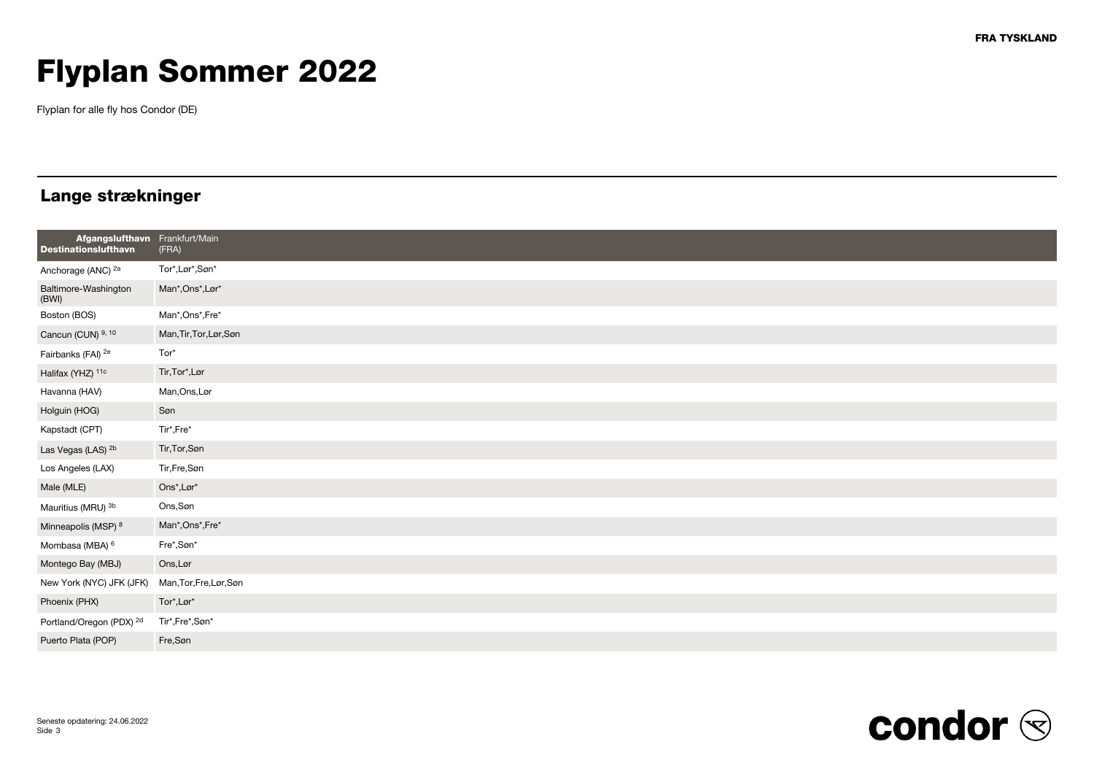Flyplan for alle fly hos Condor (DE)

### Lange strækninger

| Afgangslufthavn Frankfurt/Main<br><b>Destinationslufthavn</b> | (FRA)                                    |
|---------------------------------------------------------------|------------------------------------------|
| Anchorage (ANC) <sup>2a</sup>                                 | Tor*,Lør*,Søn*                           |
| Baltimore-Washington<br>(BWI)                                 | Man*, Ons*, Lør*                         |
| Boston (BOS)                                                  | Man*, Ons*, Fre*                         |
| Cancun (CUN) 9, 10                                            | Man, Tir, Tor, Lør, Søn                  |
| Fairbanks (FAI) <sup>2e</sup>                                 | Tor*                                     |
| Halifax (YHZ) 11c                                             | Tir, Tor*, Lør                           |
| Havanna (HAV)                                                 | Man, Ons, Lør                            |
| Holguin (HOG)                                                 | Søn                                      |
| Kapstadt (CPT)                                                | Tir*,Fre*                                |
| Las Vegas (LAS) <sup>2b</sup>                                 | Tir, Tor, Søn                            |
| Los Angeles (LAX)                                             | Tir,Fre,Søn                              |
| Male (MLE)                                                    | $\mathsf{Ons}^\star, \mathsf{Lor}^\star$ |
| Mauritius (MRU) 3b                                            | Ons, Søn                                 |
| Minneapolis (MSP) 8                                           | Man*, Ons*, Fre*                         |
| Mombasa (MBA) <sup>6</sup>                                    | Fre*,Søn*                                |
| Montego Bay (MBJ)                                             | Ons, Lør                                 |
| New York (NYC) JFK (JFK)                                      | Man, Tor, Fre, Lør, Søn                  |
| Phoenix (PHX)                                                 | Tor*,Lør*                                |
| Portland/Oregon (PDX) <sup>2d</sup>                           | Tir*,Fre*,Søn*                           |
| Puerto Plata (POP)                                            | Fre,Søn                                  |

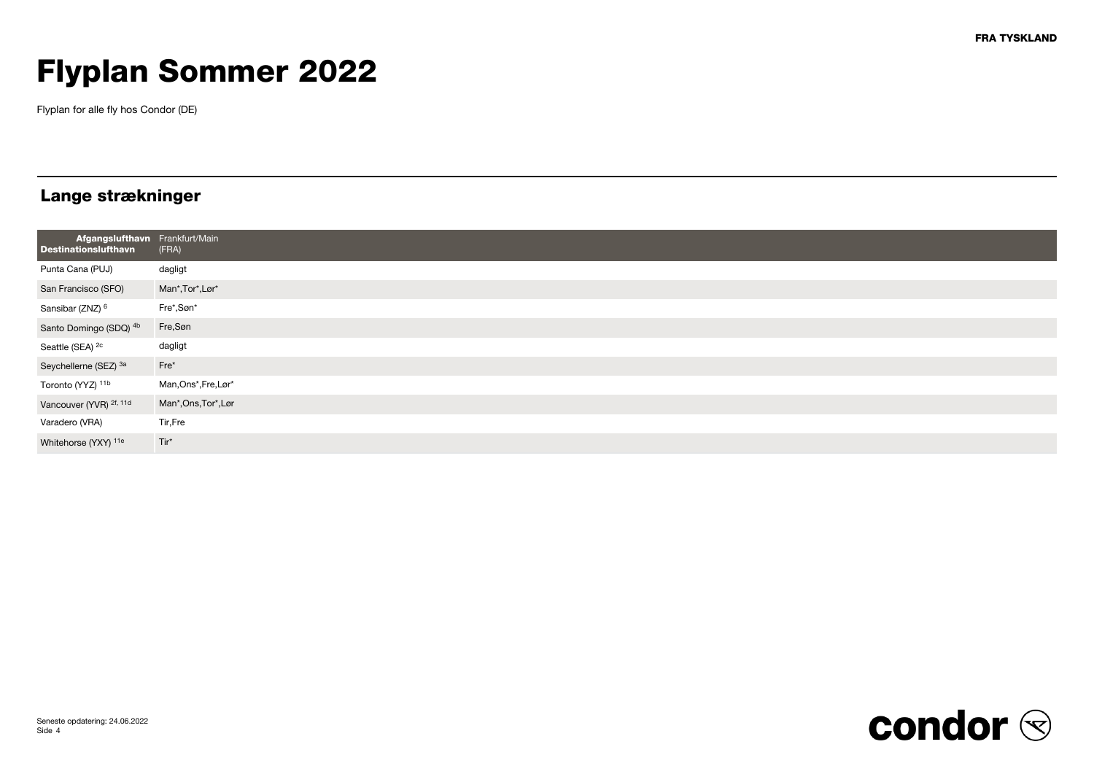Flyplan for alle fly hos Condor (DE)

### Lange strækninger

| Afgangslufthavn Frankfurt/Main<br><b>Destinationslufthavn</b> | $ $ (FRA)            |
|---------------------------------------------------------------|----------------------|
| Punta Cana (PUJ)                                              | dagligt              |
| San Francisco (SFO)                                           | Man*, Tor*, Lør*     |
| Sansibar (ZNZ) <sup>6</sup>                                   | Fre*,Søn*            |
| Santo Domingo (SDQ) <sup>4b</sup>                             | Fre,Søn              |
| Seattle (SEA) <sup>2c</sup>                                   | dagligt              |
| Seychellerne (SEZ) 3a                                         | $Fre*$               |
| Toronto (YYZ) 11b                                             | Man, Ons*, Fre, Lør* |
| Vancouver (YVR) <sup>2f, 11d</sup>                            | Man*, Ons, Tor*, Lør |
| Varadero (VRA)                                                | Tir, Fre             |
| Whitehorse (YXY) 11e                                          | Tir*                 |